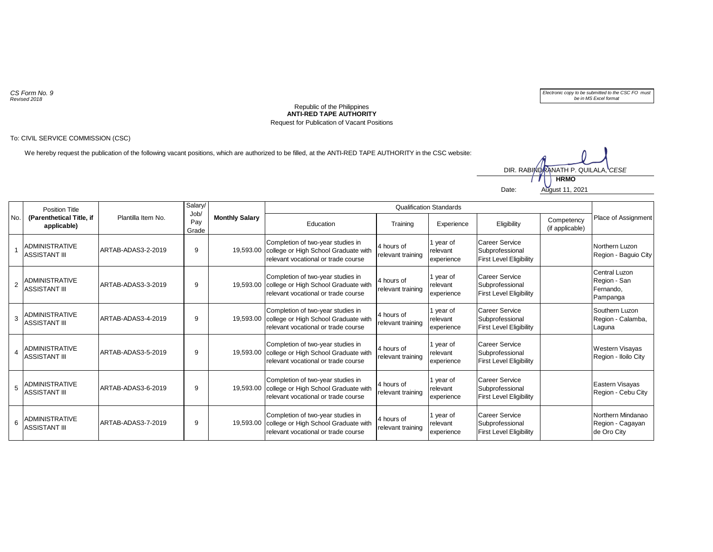*CS Form No. 9 Revised 2018*



## **ANTI-RED TAPE AUTHORITY** Republic of the Philippines Request for Publication of Vacant Positions

## To: CIVIL SERVICE COMMISSION (CSC)

We hereby request the publication of the following vacant positions, which are authorized to be filled, at the ANTI-RED TAPE AUTHORITY in the CSC website:

Date: August 11, 2021 **HRMO** DIR. RABINDRANATH P. QUILALA, *CESE* 

| No.            | Position Title<br>(Parenthetical Title, if<br>applicable) | Plantilla Item No. | Salary/<br>Job/<br>Pay<br>Grade | <b>Monthly Salary</b> | <b>Qualification Standards</b>                                                                                   |                                 |                                     |                                                                            |                               |                                                        |
|----------------|-----------------------------------------------------------|--------------------|---------------------------------|-----------------------|------------------------------------------------------------------------------------------------------------------|---------------------------------|-------------------------------------|----------------------------------------------------------------------------|-------------------------------|--------------------------------------------------------|
|                |                                                           |                    |                                 |                       | Education                                                                                                        | Training                        | Experience                          | Eligibility                                                                | Competency<br>(if applicable) | Place of Assignment                                    |
|                | <b>ADMINISTRATIVE</b><br><b>ASSISTANT III</b>             | ARTAB-ADAS3-2-2019 | 9                               | 19,593.00             | Completion of two-year studies in<br>college or High School Graduate with<br>relevant vocational or trade course | 4 hours of<br>relevant training | 1 year of<br>relevant<br>experience | <b>Career Service</b><br>Subprofessional<br><b>First Level Eligibility</b> |                               | Northern Luzon<br>Region - Baguio City                 |
| $\overline{2}$ | ADMINISTRATIVE<br><b>ASSISTANT III</b>                    | ARTAB-ADAS3-3-2019 | 9                               | 19.593.00             | Completion of two-year studies in<br>college or High School Graduate with<br>relevant vocational or trade course | 4 hours of<br>relevant training | 1 year of<br>relevant<br>experience | <b>Career Service</b><br>Subprofessional<br><b>First Level Eligibility</b> |                               | Central Luzon<br>Region - San<br>Fernando.<br>Pampanga |
| 3              | ADMINISTRATIVE<br><b>ASSISTANT III</b>                    | ARTAB-ADAS3-4-2019 | 9                               | 19,593.00             | Completion of two-year studies in<br>college or High School Graduate with<br>relevant vocational or trade course | 4 hours of<br>relevant training | 1 year of<br>relevant<br>experience | <b>Career Service</b><br>Subprofessional<br><b>First Level Eligibility</b> |                               | Southern Luzon<br>Region - Calamba,<br>Laguna          |
| $\overline{4}$ | <b>ADMINISTRATIVE</b><br><b>ASSISTANT III</b>             | ARTAB-ADAS3-5-2019 | 9                               | 19.593.00             | Completion of two-year studies in<br>college or High School Graduate with<br>relevant vocational or trade course | 4 hours of<br>relevant training | 1 year of<br>relevant<br>experience | <b>Career Service</b><br>Subprofessional<br><b>First Level Eligibility</b> |                               | Western Visayas<br>Region - Iloilo City                |
| 5              | ADMINISTRATIVE<br><b>ASSISTANT III</b>                    | ARTAB-ADAS3-6-2019 | 9                               | 19,593.00             | Completion of two-year studies in<br>college or High School Graduate with<br>relevant vocational or trade course | 4 hours of<br>relevant training | 1 year of<br>relevant<br>experience | Career Service<br>Subprofessional<br><b>First Level Eligibility</b>        |                               | Eastern Visayas<br>Region - Cebu City                  |
| 6              | <b>ADMINISTRATIVE</b><br><b>ASSISTANT III</b>             | ARTAB-ADAS3-7-2019 | 9                               | 19.593.00             | Completion of two-year studies in<br>college or High School Graduate with<br>relevant vocational or trade course | 4 hours of<br>relevant training | 1 year of<br>relevant<br>experience | <b>Career Service</b><br>Subprofessional<br><b>First Level Eligibility</b> |                               | Northern Mindanao<br>Region - Cagayan<br>de Oro City   |